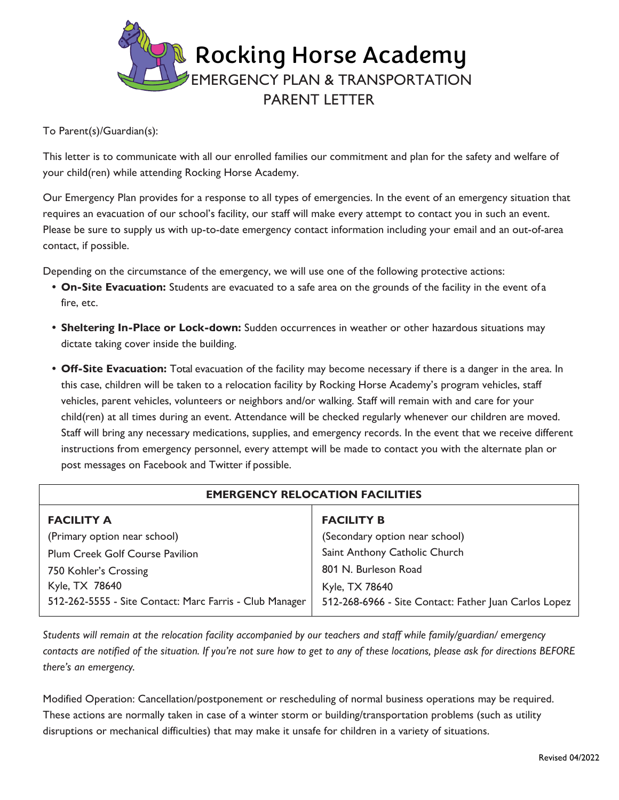

To Parent(s)/Guardian(s):

This letter is to communicate with all our enrolled families our commitment and plan for the safety and welfare of your child(ren) while attending Rocking Horse Academy.

Our Emergency Plan provides for a response to all types of emergencies. In the event of an emergency situation that requires an evacuation of our school's facility, our staff will make every attempt to contact you in such an event. Please be sure to supply us with up-to-date emergency contact information including your email and an out-of-area contact, if possible.

Depending on the circumstance of the emergency, we will use one of the following protective actions:

- **• On-Site Evacuation:** Students are evacuated to a safe area on the grounds of the facility in the event of a fire, etc.
- **• Sheltering In-Place or Lock-down:** Sudden occurrences in weather or other hazardous situations may dictate taking cover inside the building.
- **• Off-Site Evacuation:** Total evacuation of the facility may become necessary if there is a danger in the area. In this case, children will be taken to a relocation facility by Rocking Horse Academy's program vehicles, staff vehicles, parent vehicles, volunteers or neighbors and/or walking. Staff will remain with and care for your child(ren) at all times during an event. Attendance will be checked regularly whenever our children are moved. Staff will bring any necessary medications, supplies, and emergency records. In the event that we receive different instructions from emergency personnel, every attempt will be made to contact you with the alternate plan or post messages on Facebook and Twitter if possible.

| <b>EMERGENCY RELOCATION FACILITIES</b>                  |                                                       |
|---------------------------------------------------------|-------------------------------------------------------|
| <b>FACILITY A</b>                                       | <b>FACILITY B</b>                                     |
| (Primary option near school)                            | (Secondary option near school)                        |
| <b>Plum Creek Golf Course Pavilion</b>                  | Saint Anthony Catholic Church                         |
| 750 Kohler's Crossing                                   | 801 N. Burleson Road                                  |
| Kyle, TX 78640                                          | Kyle, TX 78640                                        |
| 512-262-5555 - Site Contact: Marc Farris - Club Manager | 512-268-6966 - Site Contact: Father Juan Carlos Lopez |

*Students will remain at the relocation facility accompanied by our teachers and staff while family/guardian/ emergency contacts are notified of the situation. If you're not sure how to get to any of these locations, please ask for directions BEFORE there's an emergency.*

Modified Operation: Cancellation/postponement or rescheduling of normal business operations may be required. These actions are normally taken in case of a winter storm or building/transportation problems (such as utility disruptions or mechanical difficulties) that may make it unsafe for children in a variety of situations.